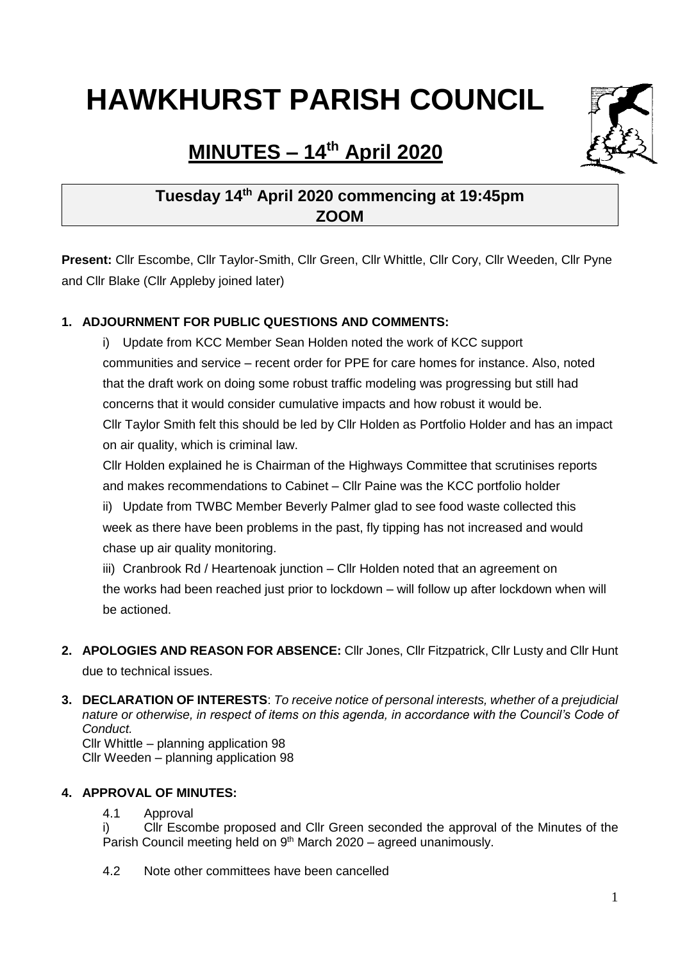# **HAWKHURST PARISH COUNCIL**



# **MINUTES – 14th April 2020**

# **Tuesday 14 th April 2020 commencing at 19:45pm ZOOM**

**Present:** Cllr Escombe, Cllr Taylor-Smith, Cllr Green, Cllr Whittle, Cllr Cory, Cllr Weeden, Cllr Pyne and Cllr Blake (Cllr Appleby joined later)

### **1. ADJOURNMENT FOR PUBLIC QUESTIONS AND COMMENTS:**

i) Update from KCC Member Sean Holden noted the work of KCC support communities and service – recent order for PPE for care homes for instance. Also, noted that the draft work on doing some robust traffic modeling was progressing but still had concerns that it would consider cumulative impacts and how robust it would be. Cllr Taylor Smith felt this should be led by Cllr Holden as Portfolio Holder and has an impact on air quality, which is criminal law.

Cllr Holden explained he is Chairman of the Highways Committee that scrutinises reports and makes recommendations to Cabinet – Cllr Paine was the KCC portfolio holder

ii) Update from TWBC Member Beverly Palmer glad to see food waste collected this week as there have been problems in the past, fly tipping has not increased and would chase up air quality monitoring.

iii) Cranbrook Rd / Heartenoak junction – Cllr Holden noted that an agreement on the works had been reached just prior to lockdown – will follow up after lockdown when will be actioned.

- **2. APOLOGIES AND REASON FOR ABSENCE:** Cllr Jones, Cllr Fitzpatrick, Cllr Lusty and Cllr Hunt due to technical issues.
- **3. DECLARATION OF INTERESTS**: *To receive notice of personal interests, whether of a prejudicial nature or otherwise, in respect of items on this agenda, in accordance with the Council's Code of Conduct.* Cllr Whittle – planning application 98

Cllr Weeden – planning application 98

#### **4. APPROVAL OF MINUTES:**

4.1 Approval

i) Cllr Escombe proposed and Cllr Green seconded the approval of the Minutes of the Parish Council meeting held on  $9<sup>th</sup>$  March 2020 – agreed unanimously.

4.2 Note other committees have been cancelled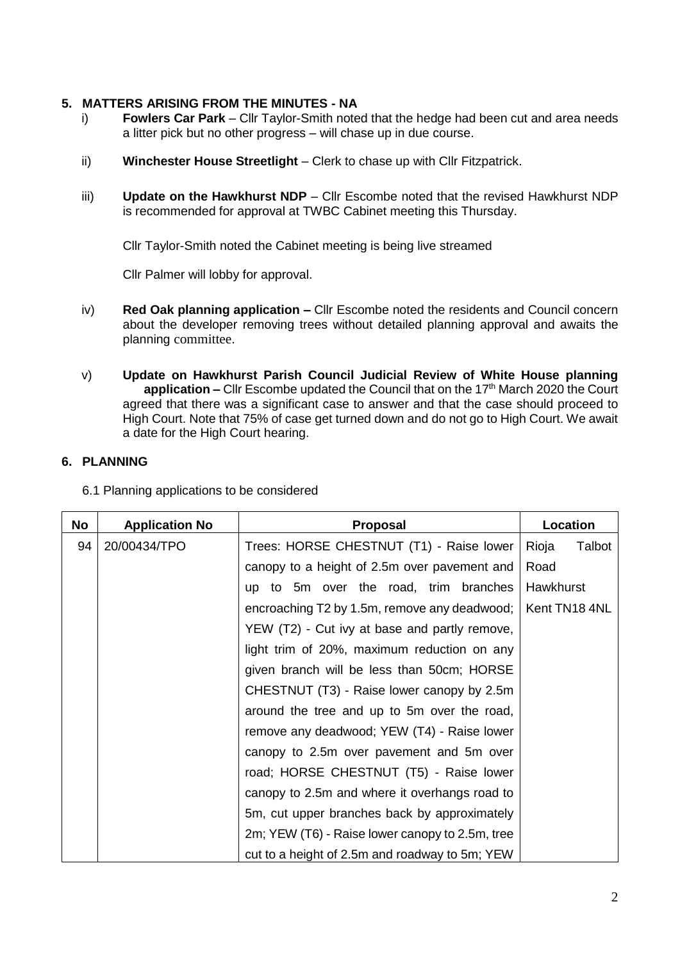#### **5. MATTERS ARISING FROM THE MINUTES - NA**

- i) **Fowlers Car Park** Cllr Taylor-Smith noted that the hedge had been cut and area needs a litter pick but no other progress – will chase up in due course.
- ii) **Winchester House Streetlight** Clerk to chase up with Cllr Fitzpatrick.
- iii) **Update on the Hawkhurst NDP**  Cllr Escombe noted that the revised Hawkhurst NDP is recommended for approval at TWBC Cabinet meeting this Thursday.

Cllr Taylor-Smith noted the Cabinet meeting is being live streamed

Cllr Palmer will lobby for approval.

- iv) **Red Oak planning application –** Cllr Escombe noted the residents and Council concern about the developer removing trees without detailed planning approval and awaits the planning committee.
- v) **Update on Hawkhurst Parish Council Judicial Review of White House planning application –** Cllr Escombe updated the Council that on the 17<sup>th</sup> March 2020 the Court agreed that there was a significant case to answer and that the case should proceed to High Court. Note that 75% of case get turned down and do not go to High Court. We await a date for the High Court hearing.

#### **6. PLANNING**

6.1 Planning applications to be considered

| No | <b>Application No</b> | <b>Proposal</b>                                 | Location        |
|----|-----------------------|-------------------------------------------------|-----------------|
| 94 | 20/00434/TPO          | Trees: HORSE CHESTNUT (T1) - Raise lower        | Talbot<br>Rioja |
|    |                       | canopy to a height of 2.5m over pavement and    | Road            |
|    |                       | up to 5m over the road, trim branches           | Hawkhurst       |
|    |                       | encroaching T2 by 1.5m, remove any deadwood;    | Kent TN18 4NL   |
|    |                       | YEW (T2) - Cut ivy at base and partly remove,   |                 |
|    |                       | light trim of 20%, maximum reduction on any     |                 |
|    |                       | given branch will be less than 50cm; HORSE      |                 |
|    |                       | CHESTNUT (T3) - Raise lower canopy by 2.5m      |                 |
|    |                       | around the tree and up to 5m over the road,     |                 |
|    |                       | remove any deadwood; YEW (T4) - Raise lower     |                 |
|    |                       | canopy to 2.5m over pavement and 5m over        |                 |
|    |                       | road; HORSE CHESTNUT (T5) - Raise lower         |                 |
|    |                       | canopy to 2.5m and where it overhangs road to   |                 |
|    |                       | 5m, cut upper branches back by approximately    |                 |
|    |                       | 2m; YEW (T6) - Raise lower canopy to 2.5m, tree |                 |
|    |                       | cut to a height of 2.5m and roadway to 5m; YEW  |                 |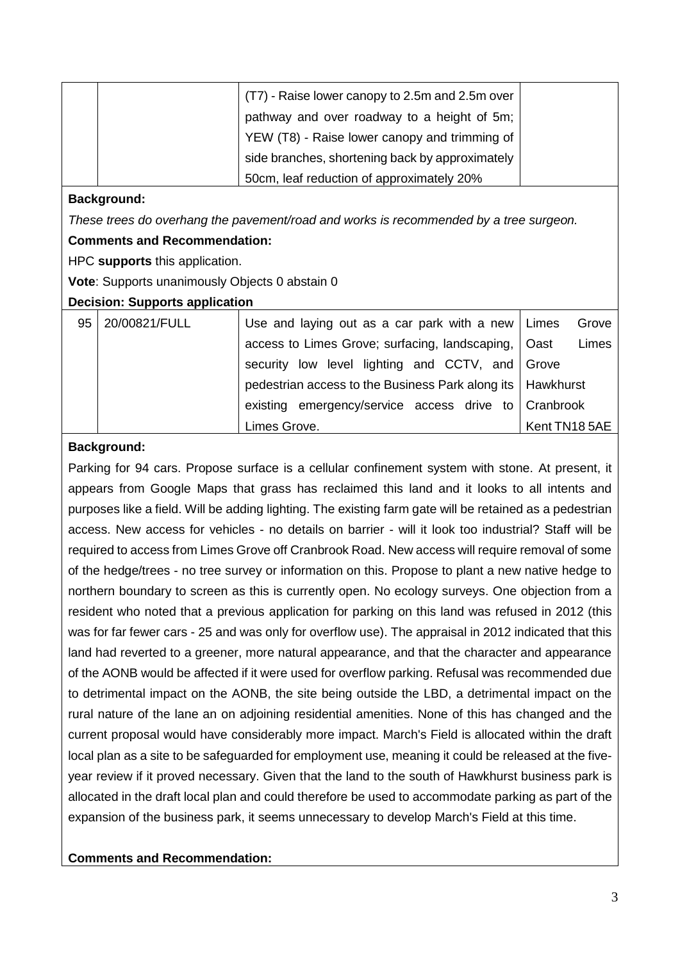|  | (T7) - Raise lower canopy to 2.5m and 2.5m over |  |
|--|-------------------------------------------------|--|
|  | pathway and over roadway to a height of 5m;     |  |
|  | YEW (T8) - Raise lower canopy and trimming of   |  |
|  | side branches, shortening back by approximately |  |
|  | 50cm, leaf reduction of approximately 20%       |  |

#### **Background:**

*These trees do overhang the pavement/road and works is recommended by a tree surgeon.*

#### **Comments and Recommendation:**

HPC **supports** this application.

**Vote**: Supports unanimously Objects 0 abstain 0

#### **Decision: Supports application**

| 95 | 20/00821/FULL | Use and laying out as a car park with a new   Limes          |              | Grove |
|----|---------------|--------------------------------------------------------------|--------------|-------|
|    |               | access to Limes Grove; surfacing, landscaping,   Oast        |              | Limes |
|    |               | security low level lighting and CCTV, and Grove              |              |       |
|    |               | pedestrian access to the Business Park along its   Hawkhurst |              |       |
|    |               | existing emergency/service access drive to Cranbrook         |              |       |
|    |               | Limes Grove.                                                 | Kent TN185AE |       |

#### **Background:**

Parking for 94 cars. Propose surface is a cellular confinement system with stone. At present, it appears from Google Maps that grass has reclaimed this land and it looks to all intents and purposes like a field. Will be adding lighting. The existing farm gate will be retained as a pedestrian access. New access for vehicles - no details on barrier - will it look too industrial? Staff will be required to access from Limes Grove off Cranbrook Road. New access will require removal of some of the hedge/trees - no tree survey or information on this. Propose to plant a new native hedge to northern boundary to screen as this is currently open. No ecology surveys. One objection from a resident who noted that a previous application for parking on this land was refused in 2012 (this was for far fewer cars - 25 and was only for overflow use). The appraisal in 2012 indicated that this land had reverted to a greener, more natural appearance, and that the character and appearance of the AONB would be affected if it were used for overflow parking. Refusal was recommended due to detrimental impact on the AONB, the site being outside the LBD, a detrimental impact on the rural nature of the lane an on adjoining residential amenities. None of this has changed and the current proposal would have considerably more impact. March's Field is allocated within the draft local plan as a site to be safeguarded for employment use, meaning it could be released at the fiveyear review if it proved necessary. Given that the land to the south of Hawkhurst business park is allocated in the draft local plan and could therefore be used to accommodate parking as part of the expansion of the business park, it seems unnecessary to develop March's Field at this time.

**Comments and Recommendation:**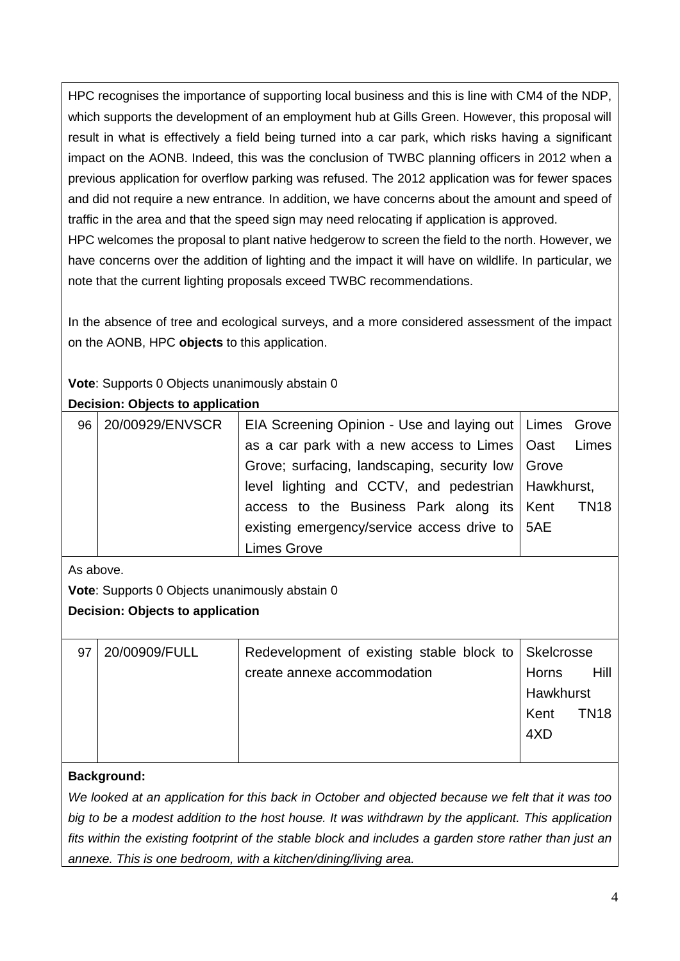HPC recognises the importance of supporting local business and this is line with CM4 of the NDP, which supports the development of an employment hub at Gills Green. However, this proposal will result in what is effectively a field being turned into a car park, which risks having a significant impact on the AONB. Indeed, this was the conclusion of TWBC planning officers in 2012 when a previous application for overflow parking was refused. The 2012 application was for fewer spaces and did not require a new entrance. In addition, we have concerns about the amount and speed of traffic in the area and that the speed sign may need relocating if application is approved.

HPC welcomes the proposal to plant native hedgerow to screen the field to the north. However, we have concerns over the addition of lighting and the impact it will have on wildlife. In particular, we note that the current lighting proposals exceed TWBC recommendations.

In the absence of tree and ecological surveys, and a more considered assessment of the impact on the AONB, HPC **objects** to this application.

**Vote**: Supports 0 Objects unanimously abstain 0

|    | <b>Decision: Objects to application</b> |                                                          |  |  |  |
|----|-----------------------------------------|----------------------------------------------------------|--|--|--|
| 96 | 20/00929/ENVSCR                         | EIA Screening Opinion - Use and laying out   Limes Grove |  |  |  |
|    |                                         | as a car park with a new access to Limes   Oast Limes    |  |  |  |
|    |                                         | Grove; surfacing, landscaping, security low   Grove      |  |  |  |
|    |                                         | level lighting and CCTV, and pedestrian   Hawkhurst,     |  |  |  |
|    |                                         | access to the Business Park along its Kent TN18          |  |  |  |
|    |                                         | existing emergency/service access drive to   5AE         |  |  |  |
|    |                                         | <b>Limes Grove</b>                                       |  |  |  |

As above.

**Vote**: Supports 0 Objects unanimously abstain 0

#### **Decision: Objects to application**

| 97 | 20/00909/FULL | Redevelopment of existing stable block to   Skelcrosse |           |             |
|----|---------------|--------------------------------------------------------|-----------|-------------|
|    |               | create annexe accommodation                            | Horns     | Hill        |
|    |               |                                                        | Hawkhurst |             |
|    |               |                                                        | Kent      | <b>TN18</b> |
|    |               |                                                        | 4XD       |             |
|    |               |                                                        |           |             |

#### **Background:**

*We looked at an application for this back in October and objected because we felt that it was too big to be a modest addition to the host house. It was withdrawn by the applicant. This application fits within the existing footprint of the stable block and includes a garden store rather than just an annexe. This is one bedroom, with a kitchen/dining/living area.*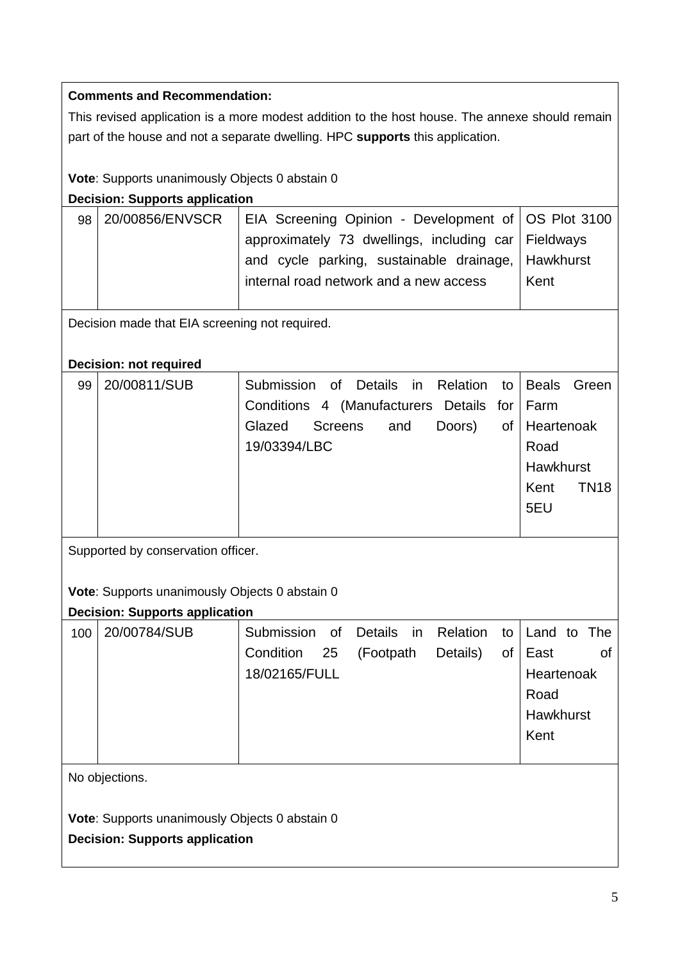#### **Comments and Recommendation:**

This revised application is a more modest addition to the host house. The annexe should remain part of the house and not a separate dwelling. HPC **supports** this application.

**Vote**: Supports unanimously Objects 0 abstain 0

**Decision: Supports application**

| 98 I | 20/00856/ENVSCR | EIA Screening Opinion - Development of   OS Plot 3100 |      |
|------|-----------------|-------------------------------------------------------|------|
|      |                 | approximately 73 dwellings, including car Fieldways   |      |
|      |                 | and cycle parking, sustainable drainage, Hawkhurst    |      |
|      |                 | internal road network and a new access                | Kent |
|      |                 |                                                       |      |

Decision made that EIA screening not required.

#### **Decision: not required**

| 99 | 20/00811/SUB | Submission of Details in Relation to Beals Green |                     |
|----|--------------|--------------------------------------------------|---------------------|
|    |              | Conditions 4 (Manufacturers Details for Farm     |                     |
|    |              | Doors)<br>Glazed Screens<br>and                  | of   Heartenoak     |
|    |              | 19/03394/LBC                                     | Road                |
|    |              |                                                  | Hawkhurst           |
|    |              |                                                  | Kent<br><b>TN18</b> |
|    |              |                                                  | 5EU                 |
|    |              |                                                  |                     |

Supported by conservation officer.

**Vote**: Supports unanimously Objects 0 abstain 0

|     | <b>Decision: Supports application</b> |               |    |           |  |             |    |                  |           |
|-----|---------------------------------------|---------------|----|-----------|--|-------------|----|------------------|-----------|
| 100 | 20/00784/SUB                          | Submission    | of | Details   |  | in Relation | to | Land to The      |           |
|     |                                       | Condition     | 25 | (Footpath |  | Details)    | οf | East             | <b>of</b> |
|     |                                       | 18/02165/FULL |    |           |  |             |    | Heartenoak       |           |
|     |                                       |               |    |           |  |             |    | Road             |           |
|     |                                       |               |    |           |  |             |    | <b>Hawkhurst</b> |           |
|     |                                       |               |    |           |  |             |    | Kent             |           |
|     |                                       |               |    |           |  |             |    |                  |           |
|     | No objections                         |               |    |           |  |             |    |                  |           |

No objections.

**Vote**: Supports unanimously Objects 0 abstain 0

**Decision: Supports application**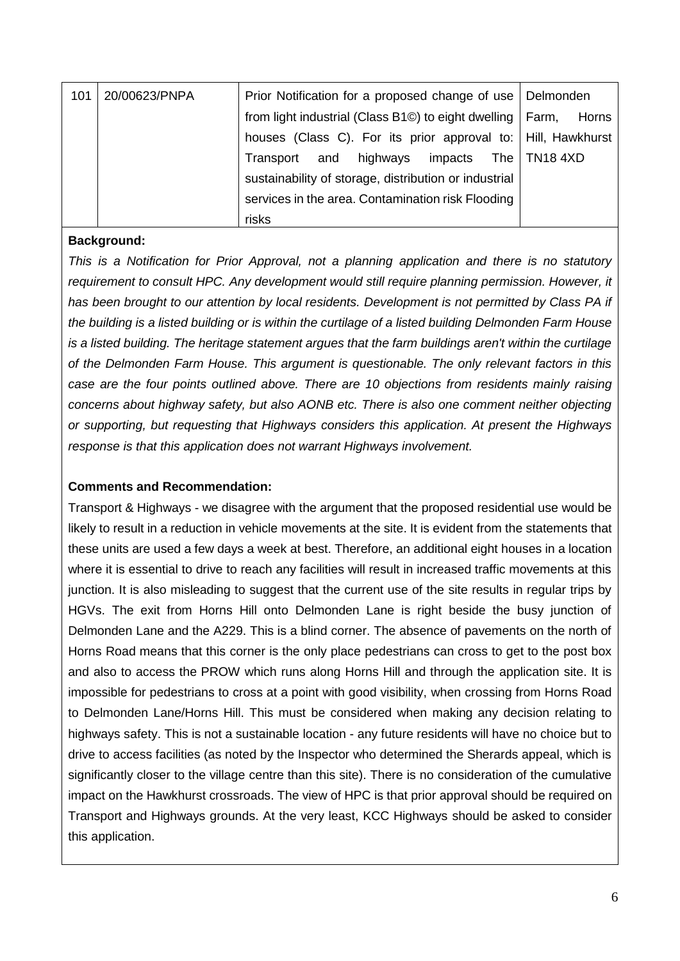| 101 | 20/00623/PNPA | Prior Notification for a proposed change of use   Delmonden                      |                |
|-----|---------------|----------------------------------------------------------------------------------|----------------|
|     |               | from light industrial (Class B1 $\circledcirc$ ) to eight dwelling $\vert$ Farm, | Horns          |
|     |               | houses (Class C). For its prior approval to:   Hill, Hawkhurst                   |                |
|     |               | highways impacts<br>and<br>Transport                                             | The   TN18 4XD |
|     |               | sustainability of storage, distribution or industrial                            |                |
|     |               | services in the area. Contamination risk Flooding                                |                |
|     |               | risks                                                                            |                |

#### **Background:**

*This is a Notification for Prior Approval, not a planning application and there is no statutory requirement to consult HPC. Any development would still require planning permission. However, it*  has been brought to our attention by local residents. Development is not permitted by Class PA if *the building is a listed building or is within the curtilage of a listed building Delmonden Farm House is a listed building. The heritage statement argues that the farm buildings aren't within the curtilage of the Delmonden Farm House. This argument is questionable. The only relevant factors in this case are the four points outlined above. There are 10 objections from residents mainly raising concerns about highway safety, but also AONB etc. There is also one comment neither objecting or supporting, but requesting that Highways considers this application. At present the Highways response is that this application does not warrant Highways involvement.*

#### **Comments and Recommendation:**

Transport & Highways - we disagree with the argument that the proposed residential use would be likely to result in a reduction in vehicle movements at the site. It is evident from the statements that these units are used a few days a week at best. Therefore, an additional eight houses in a location where it is essential to drive to reach any facilities will result in increased traffic movements at this junction. It is also misleading to suggest that the current use of the site results in regular trips by HGVs. The exit from Horns Hill onto Delmonden Lane is right beside the busy junction of Delmonden Lane and the A229. This is a blind corner. The absence of pavements on the north of Horns Road means that this corner is the only place pedestrians can cross to get to the post box and also to access the PROW which runs along Horns Hill and through the application site. It is impossible for pedestrians to cross at a point with good visibility, when crossing from Horns Road to Delmonden Lane/Horns Hill. This must be considered when making any decision relating to highways safety. This is not a sustainable location - any future residents will have no choice but to drive to access facilities (as noted by the Inspector who determined the Sherards appeal, which is significantly closer to the village centre than this site). There is no consideration of the cumulative impact on the Hawkhurst crossroads. The view of HPC is that prior approval should be required on Transport and Highways grounds. At the very least, KCC Highways should be asked to consider this application.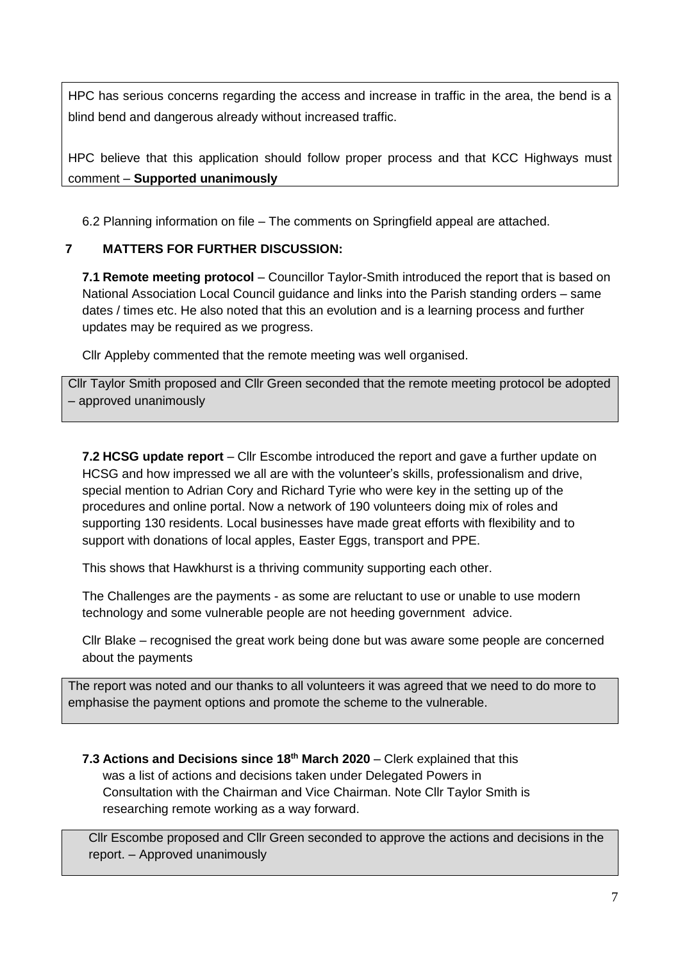HPC has serious concerns regarding the access and increase in traffic in the area, the bend is a blind bend and dangerous already without increased traffic.

HPC believe that this application should follow proper process and that KCC Highways must comment – **Supported unanimously** 

6.2 Planning information on file – The comments on Springfield appeal are attached.

#### **7 MATTERS FOR FURTHER DISCUSSION:**

**7.1 Remote meeting protocol** – Councillor Taylor-Smith introduced the report that is based on National Association Local Council guidance and links into the Parish standing orders – same dates / times etc. He also noted that this an evolution and is a learning process and further updates may be required as we progress.

Cllr Appleby commented that the remote meeting was well organised.

Cllr Taylor Smith proposed and Cllr Green seconded that the remote meeting protocol be adopted – approved unanimously

**7.2 HCSG update report** – Cllr Escombe introduced the report and gave a further update on HCSG and how impressed we all are with the volunteer's skills, professionalism and drive, special mention to Adrian Cory and Richard Tyrie who were key in the setting up of the procedures and online portal. Now a network of 190 volunteers doing mix of roles and supporting 130 residents. Local businesses have made great efforts with flexibility and to support with donations of local apples, Easter Eggs, transport and PPE.

This shows that Hawkhurst is a thriving community supporting each other.

The Challenges are the payments - as some are reluctant to use or unable to use modern technology and some vulnerable people are not heeding government advice.

Cllr Blake – recognised the great work being done but was aware some people are concerned about the payments

The report was noted and our thanks to all volunteers it was agreed that we need to do more to emphasise the payment options and promote the scheme to the vulnerable.

**7.3 Actions and Decisions since 18th March 2020** – Clerk explained that this was a list of actions and decisions taken under Delegated Powers in Consultation with the Chairman and Vice Chairman. Note Cllr Taylor Smith is researching remote working as a way forward.

Cllr Escombe proposed and Cllr Green seconded to approve the actions and decisions in the report. – Approved unanimously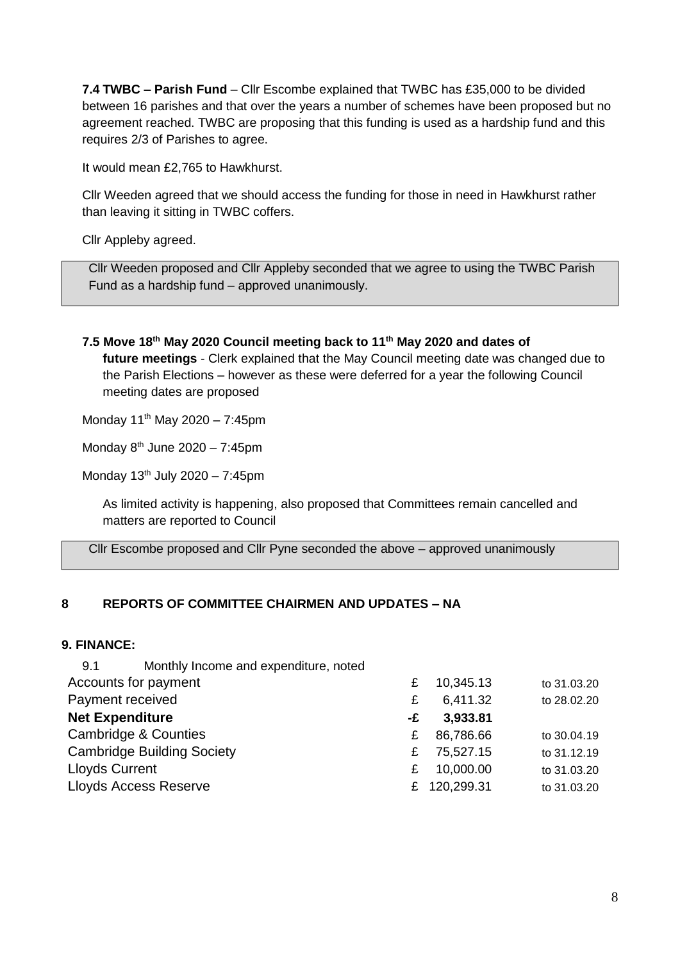**7.4 TWBC – Parish Fund** – Cllr Escombe explained that TWBC has £35,000 to be divided between 16 parishes and that over the years a number of schemes have been proposed but no agreement reached. TWBC are proposing that this funding is used as a hardship fund and this requires 2/3 of Parishes to agree.

It would mean £2,765 to Hawkhurst.

Cllr Weeden agreed that we should access the funding for those in need in Hawkhurst rather than leaving it sitting in TWBC coffers.

Cllr Appleby agreed.

Cllr Weeden proposed and Cllr Appleby seconded that we agree to using the TWBC Parish Fund as a hardship fund – approved unanimously.

**7.5 Move 18th May 2020 Council meeting back to 11th May 2020 and dates of future meetings** - Clerk explained that the May Council meeting date was changed due to the Parish Elections – however as these were deferred for a year the following Council meeting dates are proposed

Monday  $11^{th}$  May 2020 – 7:45pm

Monday  $8^{th}$  June 2020 – 7:45pm

Monday  $13<sup>th</sup>$  July 2020 – 7:45pm

As limited activity is happening, also proposed that Committees remain cancelled and matters are reported to Council

Cllr Escombe proposed and Cllr Pyne seconded the above – approved unanimously

#### **8 REPORTS OF COMMITTEE CHAIRMEN AND UPDATES – NA**

#### **9. FINANCE:**

| Monthly Income and expenditure, noted<br>9.1 |    |              |             |
|----------------------------------------------|----|--------------|-------------|
| Accounts for payment                         | £  | 10,345.13    | to 31.03.20 |
| Payment received                             | £  | 6,411.32     | to 28.02.20 |
| <b>Net Expenditure</b>                       | -£ | 3,933.81     |             |
| Cambridge & Counties                         | £  | 86,786.66    | to 30.04.19 |
| <b>Cambridge Building Society</b>            | £  | 75,527.15    | to 31.12.19 |
| <b>Lloyds Current</b>                        | £  | 10,000.00    | to 31.03.20 |
| <b>Lloyds Access Reserve</b>                 |    | £ 120,299.31 | to 31.03.20 |